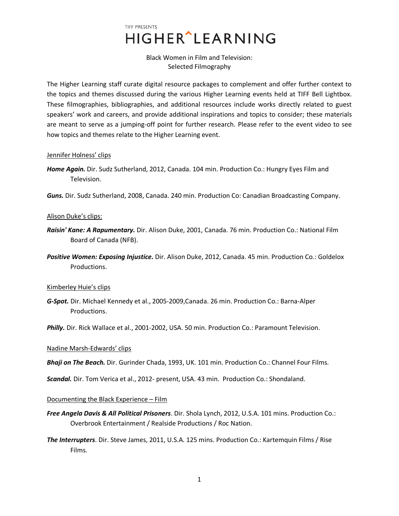## Black Women in Film and Television: Selected Filmography

The Higher Learning staff curate digital resource packages to complement and offer further context to the topics and themes discussed during the various Higher Learning events held at TIFF Bell Lightbox. These filmographies, bibliographies, and additional resources include works directly related to guest speakers' work and careers, and provide additional inspirations and topics to consider; these materials are meant to serve as a jumping-off point for further research. Please refer to the event video to see how topics and themes relate to the Higher Learning event.

### Jennifer Holness' clips

- *Home Again.* Dir. Sudz Sutherland, 2012, Canada. 104 min. Production Co.: Hungry Eyes Film and Television.
- *Guns.* Dir. Sudz Sutherland, 2008, Canada. 240 min. Production Co: Canadian Broadcasting Company.

### Alison Duke's clips:

- *Raisin' Kane: A Rapumentary.* Dir. Alison Duke, 2001, Canada. 76 min. Production Co.: National Film Board of Canada (NFB).
- *Positive Women: Exposing Injustice.* Dir. Alison Duke, 2012, Canada. 45 min. Production Co.: Goldelox Productions.

## Kimberley Huie's clips

*G-Spot.* Dir. Michael Kennedy et al., 2005-2009,Canada. 26 min. Production Co.: Barna-Alper Productions.

*Philly.* Dir. Rick Wallace et al., 2001-2002, USA. 50 min. Production Co.: Paramount Television.

## Nadine Marsh-Edwards' clips

*Bhaji on The Beach.* Dir. Gurinder Chada, 1993, UK. 101 min. Production Co.: Channel Four Films.

*Scandal.* Dir. Tom Verica et al., 2012- present, USA. 43 min. Production Co.: Shondaland.

#### Documenting the Black Experience – Film

- *Free Angela Davis & All Political Prisoners*. Dir. Shola Lynch, 2012, U.S.A. 101 mins. Production Co.: Overbrook Entertainment / Realside Productions / Roc Nation.
- *The Interrupters*. Dir. Steve James, 2011, U.S.A. 125 mins. Production Co.: Kartemquin Films / Rise Films.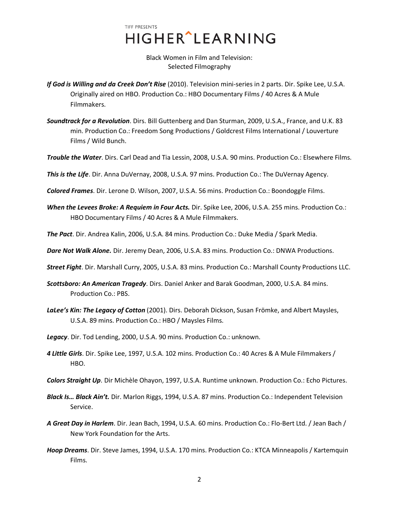Black Women in Film and Television: Selected Filmography

- *If God is Willing and da Creek Don't Rise* (2010). Television mini-series in 2 parts. Dir. Spike Lee, U.S.A. Originally aired on HBO. Production Co.: HBO Documentary Films / 40 Acres & A Mule Filmmakers.
- *Soundtrack for a Revolution*. Dirs. Bill Guttenberg and Dan Sturman, 2009, U.S.A., France, and U.K. 83 min. Production Co.: Freedom Song Productions / Goldcrest Films International / Louverture Films / Wild Bunch.
- *Trouble the Water*. Dirs. Carl Dead and Tia Lessin, 2008, U.S.A. 90 mins. Production Co.: Elsewhere Films.
- *This is the Life*. Dir. Anna DuVernay, 2008, U.S.A. 97 mins. Production Co.: The DuVernay Agency.
- *Colored Frames*. Dir. Lerone D. Wilson, 2007, U.S.A. 56 mins. Production Co.: Boondoggle Films.
- *When the Levees Broke: A Requiem in Four Acts. Dir. Spike Lee, 2006, U.S.A. 255 mins. Production Co.:* HBO Documentary Films / 40 Acres & A Mule Filmmakers.
- *The Pact*. Dir. Andrea Kalin, 2006, U.S.A. 84 mins. Production Co.: Duke Media / Spark Media.
- *Dare Not Walk Alone.* Dir. Jeremy Dean, 2006, U.S.A. 83 mins. Production Co.: DNWA Productions.
- *Street Fight*. Dir. Marshall Curry, 2005, U.S.A. 83 mins. Production Co.: Marshall County Productions LLC.
- *Scottsboro: An American Tragedy*. Dirs. Daniel Anker and Barak Goodman, 2000, U.S.A. 84 mins. Production Co.: PBS.
- *LaLee's Kin: The Legacy of Cotton* (2001). Dirs. Deborah Dickson, Susan Frömke, and Albert Maysles, U.S.A. 89 mins. Production Co.: HBO / Maysles Films.
- *Legacy*. Dir. Tod Lending, 2000, U.S.A. 90 mins. Production Co.: unknown.
- *4 Little Girls*. Dir. Spike Lee, 1997, U.S.A. 102 mins. Production Co.: 40 Acres & A Mule Filmmakers / HBO.
- *Colors Straight Up*. Dir Michèle Ohayon, 1997, U.S.A. Runtime unknown. Production Co.: Echo Pictures.
- *Black Is… Black Ain't.* Dir. Marlon Riggs, 1994, U.S.A. 87 mins. Production Co.: Independent Television Service.
- *A Great Day in Harlem*. Dir. Jean Bach, 1994, U.S.A. 60 mins. Production Co.: Flo-Bert Ltd. / Jean Bach / New York Foundation for the Arts.
- *Hoop Dreams*. Dir. Steve James, 1994, U.S.A. 170 mins. Production Co.: KTCA Minneapolis / Kartemquin Films.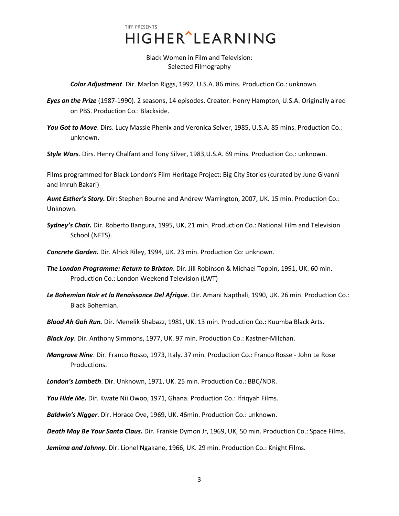Black Women in Film and Television: Selected Filmography

*Color Adjustment*. Dir. Marlon Riggs, 1992, U.S.A. 86 mins. Production Co.: unknown.

*Eyes on the Prize* (1987-1990). 2 seasons, 14 episodes. Creator: Henry Hampton, U.S.A. Originally aired on PBS. Production Co.: Blackside.

*You Got to Move*. Dirs. Lucy Massie Phenix and Veronica Selver, 1985, U.S.A. 85 mins. Production Co.: unknown.

*Style Wars*. Dirs. Henry Chalfant and Tony Silver, 1983,U.S.A. 69 mins. Production Co.: unknown.

Films programmed for Black London's Film Heritage Project: Big City Stories (curated by June Givanni and Imruh Bakari)

*Aunt Esther's Story.* Dir: Stephen Bourne and Andrew Warrington, 2007, UK. 15 min. Production Co.: Unknown.

*Sydney's Chair.* Dir. Roberto Bangura, 1995, UK, 21 min. Production Co.: National Film and Television School (NFTS).

*Concrete Garden.* Dir. Alrick Riley, 1994, UK. 23 min. Production Co: unknown.

- *The London Programme: Return to Brixton*. Dir. Jill Robinson & Michael Toppin, 1991, UK. 60 min. Production Co.: London Weekend Television (LWT)
- *Le Bohemian Noir et la Renaissance Del Afrique*. Dir. Amani Napthali, 1990, UK. 26 min. Production Co.: Black Bohemian.

*Blood Ah Goh Run.* Dir. Menelik Shabazz, 1981, UK. 13 min. Production Co.: Kuumba Black Arts.

*Black Joy*. Dir. Anthony Simmons, 1977, UK. 97 min. Production Co.: Kastner-Milchan.

*Mangrove Nine*. Dir. Franco Rosso, 1973, Italy. 37 min. Production Co.: Franco Rosse - John Le Rose Productions.

*London's Lambeth*. Dir. Unknown, 1971, UK. 25 min. Production Co.: BBC/NDR.

You Hide Me. Dir. Kwate Nii Owoo, 1971, Ghana. Production Co.: Ifriqyah Films.

*Baldwin's Nigger*. Dir. Horace Ove, 1969, UK. 46min. Production Co.: unknown.

*Death May Be Your Santa Claus.* Dir. Frankie Dymon Jr, 1969, UK, 50 min. Production Co.: Space Films.

*Jemima and Johnny.* Dir. Lionel Ngakane, 1966, UK. 29 min. Production Co.: Knight Films.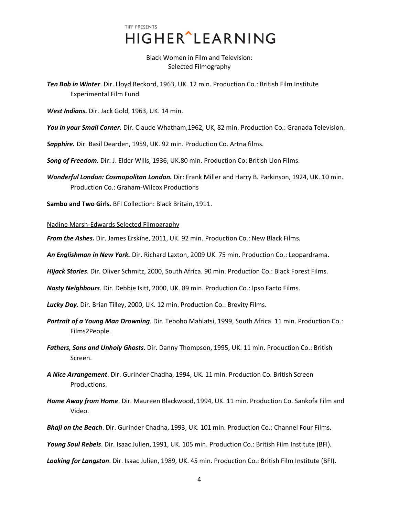## TIFF PRESENTS HIGHER^LEARNING

Black Women in Film and Television: Selected Filmography

*Ten Bob in Winter*. Dir. Lloyd Reckord, 1963, UK. 12 min. Production Co.: British Film Institute Experimental Film Fund.

*West Indians.* Dir. Jack Gold, 1963, UK. 14 min.

*You in your Small Corner.* Dir. Claude Whatham,1962, UK, 82 min. Production Co.: Granada Television.

*Sapphire.* Dir. Basil Dearden, 1959, UK. 92 min. Production Co. Artna films.

*Song of Freedom.* Dir: J. Elder Wills, 1936, UK.80 min. Production Co: British Lion Films.

*Wonderful London: Cosmopolitan London.* Dir: Frank Miller and Harry B. Parkinson, 1924, UK. 10 min. Production Co.: Graham-Wilcox Productions

**Sambo and Two Girls.** BFI Collection: Black Britain, 1911.

Nadine Marsh-Edwards Selected Filmography

*From the Ashes.* Dir. James Erskine, 2011, UK. 92 min. Production Co.: New Black Films.

*An Englishman in New York.* Dir. Richard Laxton, 2009 UK. 75 min. Production Co.: Leopardrama.

*Hijack Stories*. Dir. Oliver Schmitz, 2000, South Africa. 90 min. Production Co.: Black Forest Films.

*Nasty Neighbours*. Dir. Debbie Isitt, 2000, UK. 89 min. Production Co.: Ipso Facto Films.

*Lucky Day*. Dir. Brian Tilley, 2000, UK. 12 min. Production Co.: Brevity Films.

- *Portrait of a Young Man Drowning*. Dir. Teboho Mahlatsi, 1999, South Africa. 11 min. Production Co.: Films2People.
- *Fathers, Sons and Unholy Ghosts*. Dir. Danny Thompson, 1995, UK. 11 min. Production Co.: British Screen.
- *A Nice Arrangement*. Dir. Gurinder Chadha, 1994, UK. 11 min. Production Co. British Screen Productions.
- *Home Away from Home*. Dir. Maureen Blackwood, 1994, UK. 11 min. Production Co. Sankofa Film and Video.
- *Bhaji on the Beach*. Dir. Gurinder Chadha, 1993, UK. 101 min. Production Co.: Channel Four Films.

*Young Soul Rebels*. Dir. Isaac Julien, 1991, UK. 105 min. Production Co.: British Film Institute (BFI).

*Looking for Langston*. Dir. Isaac Julien, 1989, UK. 45 min. Production Co.: British Film Institute (BFI).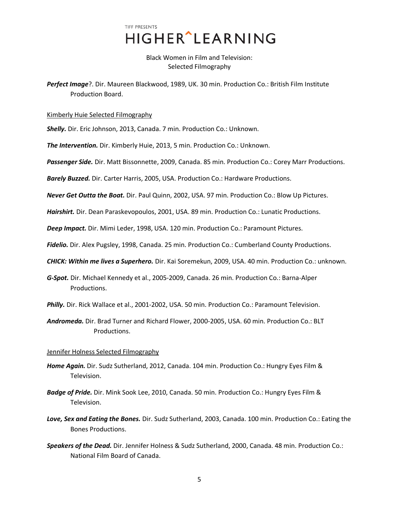Black Women in Film and Television: Selected Filmography

*Perfect Image*?. Dir. Maureen Blackwood, 1989, UK. 30 min. Production Co.: British Film Institute Production Board.

#### Kimberly Huie Selected Filmography

*Shelly.* Dir. Eric Johnson, 2013, Canada. 7 min. Production Co.: Unknown.

*The Intervention.* Dir. Kimberly Huie, 2013, 5 min. Production Co.: Unknown.

*Passenger Side.* Dir. Matt Bissonnette, 2009, Canada. 85 min. Production Co.: Corey Marr Productions.

*Barely Buzzed.* Dir. Carter Harris, 2005, USA. Production Co.: Hardware Productions.

*Never Get Outta the Boat.* Dir. Paul Quinn, 2002, USA. 97 min. Production Co.: Blow Up Pictures.

*Hairshirt.* Dir. Dean Paraskevopoulos, 2001, USA. 89 min. Production Co.: Lunatic Productions.

*Deep Impact.* Dir. Mimi Leder, 1998, USA. 120 min. Production Co.: Paramount Pictures.

*Fidelio.* Dir. Alex Pugsley, 1998, Canada. 25 min. Production Co.: Cumberland County Productions.

*CHICK: Within me lives a Superhero.* Dir. Kai Soremekun, 2009, USA. 40 min. Production Co.: unknown.

*G-Spot.* Dir. Michael Kennedy et al., 2005-2009, Canada. 26 min. Production Co.: Barna-Alper Productions.

*Philly.* Dir. Rick Wallace et al., 2001-2002, USA. 50 min. Production Co.: Paramount Television.

*Andromeda.* Dir. Brad Turner and Richard Flower, 2000-2005, USA. 60 min. Production Co.: BLT Productions.

## Jennifer Holness Selected Filmography

- *Home Again.* Dir. Sudz Sutherland, 2012, Canada. 104 min. Production Co.: Hungry Eyes Film & Television.
- *Badge of Pride.* Dir. Mink Sook Lee, 2010, Canada. 50 min. Production Co.: Hungry Eyes Film & Television.
- *Love, Sex and Eating the Bones.* Dir. Sudz Sutherland, 2003, Canada. 100 min. Production Co.: Eating the Bones Productions.
- *Speakers of the Dead.* Dir. Jennifer Holness & Sudz Sutherland, 2000, Canada. 48 min. Production Co.: National Film Board of Canada.